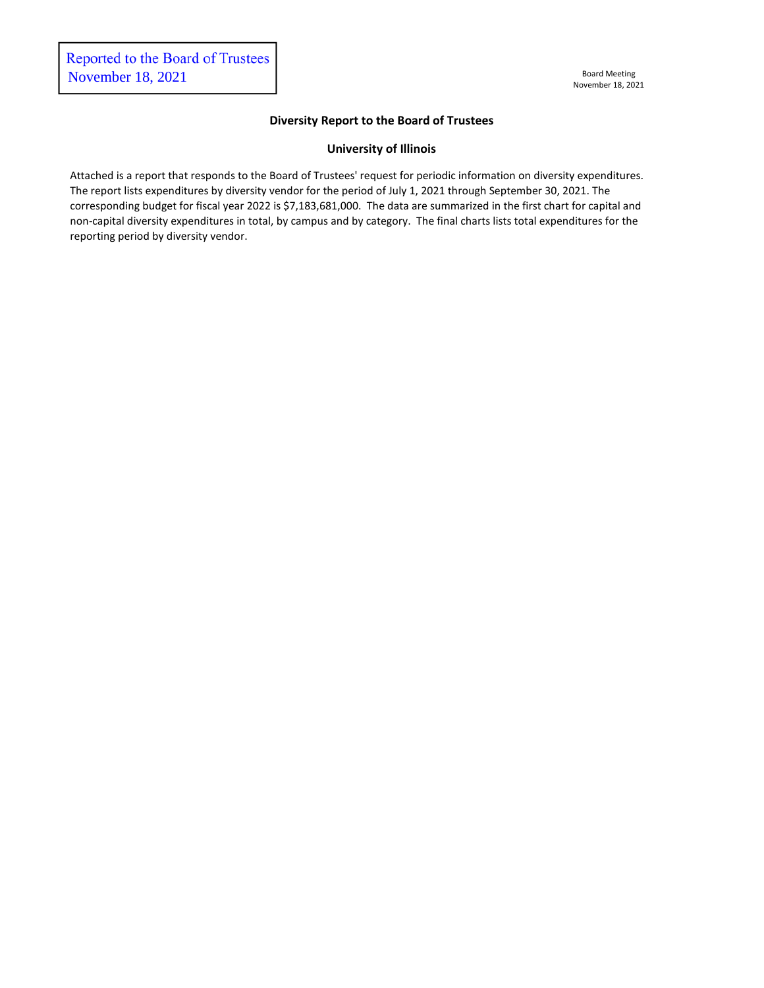#### **Diversity Report to the Board of Trustees**

#### **University of Illinois**

Attached is a report that responds to the Board of Trustees' request for periodic information on diversity expenditures. The report lists expenditures by diversity vendor for the period of July 1, 2021 through September 30, 2021. The corresponding budget for fiscal year 2022 is \$7,183,681,000. The data are summarized in the first chart for capital and non-capital diversity expenditures in total, by campus and by category. The final charts lists total expenditures for the reporting period by diversity vendor.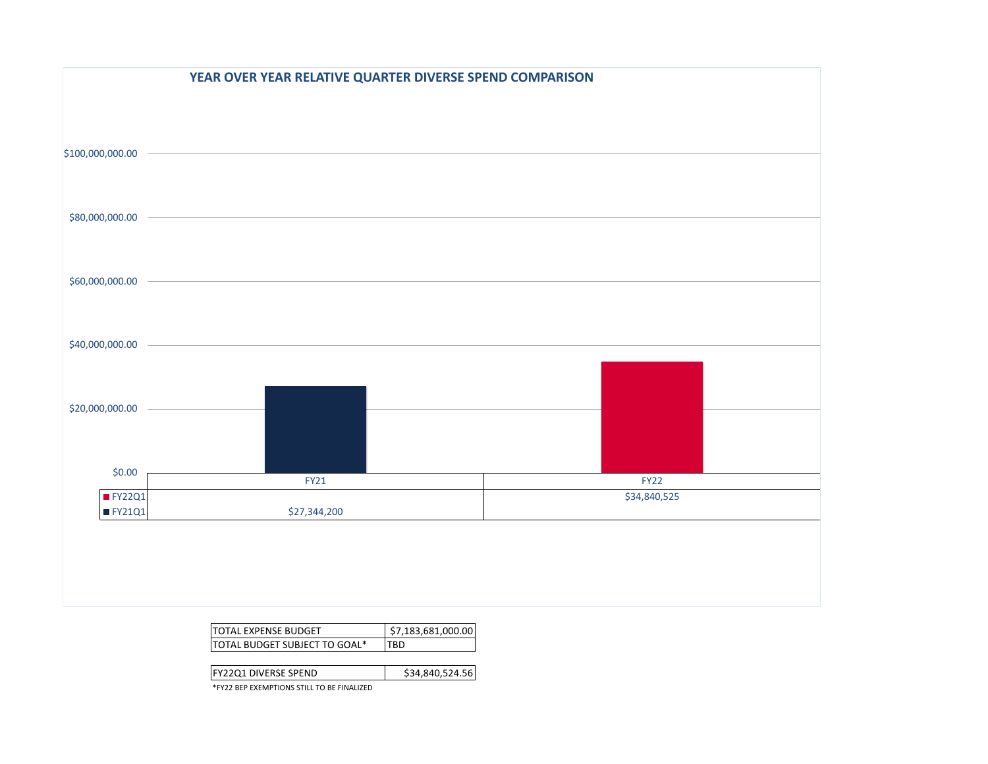|                   | YEAR OVER YEAR RELATIVE QUARTER DIVERSE SPEND COMPARISON |              |
|-------------------|----------------------------------------------------------|--------------|
|                   |                                                          |              |
|                   |                                                          |              |
| \$100,000,000.00  |                                                          |              |
|                   |                                                          |              |
|                   |                                                          |              |
| \$80,000,000.00   |                                                          |              |
|                   |                                                          |              |
| \$60,000,000.00   |                                                          |              |
|                   |                                                          |              |
|                   |                                                          |              |
| \$40,000,000.00   |                                                          |              |
|                   |                                                          |              |
|                   |                                                          |              |
| \$20,000,000.00   |                                                          |              |
|                   |                                                          |              |
| \$0.00            |                                                          |              |
|                   | <b>FY21</b>                                              | <b>FY22</b>  |
| IFY22Q1<br>FY21Q1 | \$27,344,200                                             | \$34,840,525 |
|                   |                                                          |              |
|                   |                                                          |              |
|                   |                                                          |              |
|                   |                                                          |              |

| ITOTAI FXPFNSF BUDGFT          | \$7.183.681.000.00 |
|--------------------------------|--------------------|
| ITOTAL BUDGET SUBJECT TO GOAL* |                    |

| <b>IFY22Q1 DIVERSE SPEND</b>                        | \$34,840,524.56 |
|-----------------------------------------------------|-----------------|
| <b>XEVOO BEB EVELIBEIONIC CEUL TO BE EIN ALIZEB</b> |                 |

\*FY22 BEP EXEMPTIONS STILL TO BE FINALIZED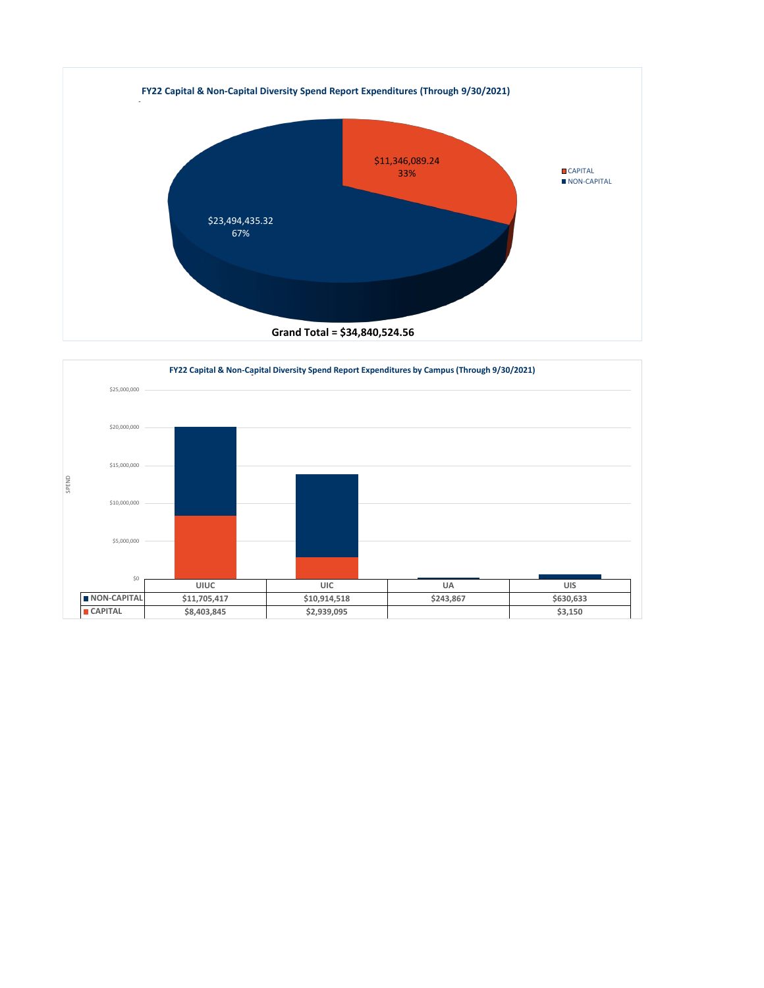

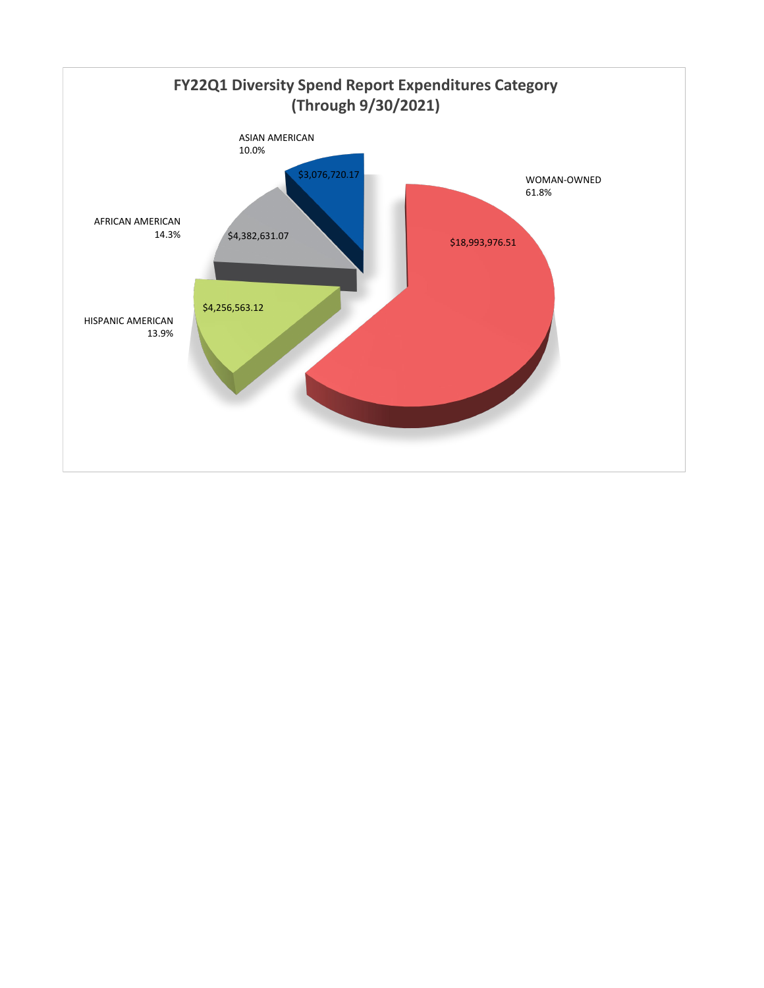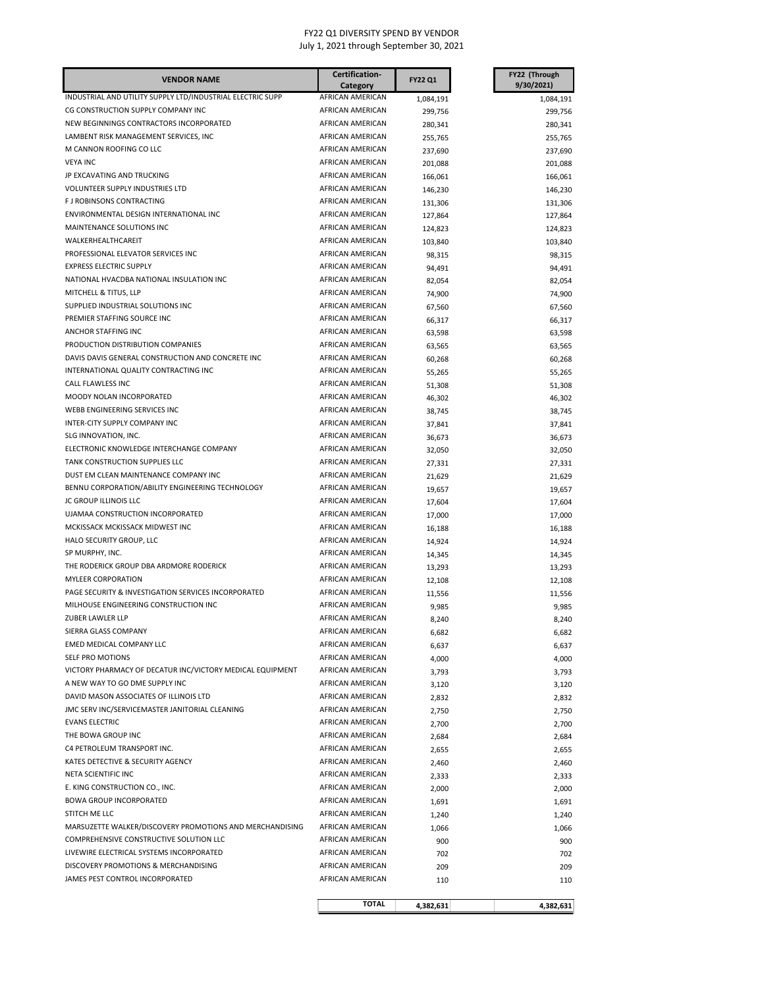| <b>VENDOR NAME</b>                                         | Certification-                       | <b>FY22 Q1</b> | FY22 (Through  |
|------------------------------------------------------------|--------------------------------------|----------------|----------------|
|                                                            | Category                             |                | 9/30/2021)     |
| INDUSTRIAL AND UTILITY SUPPLY LTD/INDUSTRIAL ELECTRIC SUPP | AFRICAN AMERICAN                     | 1,084,191      | 1,084,191      |
| CG CONSTRUCTION SUPPLY COMPANY INC                         | AFRICAN AMERICAN                     | 299,756        | 299,756        |
| NEW BEGINNINGS CONTRACTORS INCORPORATED                    | AFRICAN AMERICAN                     | 280,341        | 280,341        |
| LAMBENT RISK MANAGEMENT SERVICES, INC                      | AFRICAN AMERICAN                     | 255,765        | 255,765        |
| M CANNON ROOFING CO LLC                                    | AFRICAN AMERICAN                     | 237,690        | 237,690        |
| <b>VEYA INC</b>                                            | AFRICAN AMERICAN                     | 201,088        | 201,088        |
| JP EXCAVATING AND TRUCKING                                 | AFRICAN AMERICAN                     | 166,061        | 166,061        |
| VOLUNTEER SUPPLY INDUSTRIES LTD                            | AFRICAN AMERICAN                     | 146,230        | 146,230        |
| F J ROBINSONS CONTRACTING                                  | AFRICAN AMERICAN                     | 131,306        | 131,306        |
| ENVIRONMENTAL DESIGN INTERNATIONAL INC                     | <b>AFRICAN AMERICAN</b>              | 127,864        | 127,864        |
| MAINTENANCE SOLUTIONS INC                                  | AFRICAN AMERICAN                     | 124,823        | 124,823        |
| WALKERHEALTHCAREIT                                         | AFRICAN AMERICAN                     | 103,840        | 103,840        |
| PROFESSIONAL ELEVATOR SERVICES INC                         | AFRICAN AMERICAN                     | 98,315         | 98,315         |
| <b>EXPRESS ELECTRIC SUPPLY</b>                             | AFRICAN AMERICAN                     | 94,491         | 94,491         |
| NATIONAL HVACDBA NATIONAL INSULATION INC                   | AFRICAN AMERICAN                     | 82,054         | 82,054         |
| MITCHELL & TITUS, LLP                                      | AFRICAN AMERICAN                     | 74,900         | 74,900         |
| SUPPLIED INDUSTRIAL SOLUTIONS INC                          | AFRICAN AMERICAN                     | 67,560         | 67,560         |
| PREMIER STAFFING SOURCE INC                                | AFRICAN AMERICAN                     | 66,317         | 66,317         |
| ANCHOR STAFFING INC                                        | AFRICAN AMERICAN                     | 63,598         | 63,598         |
| PRODUCTION DISTRIBUTION COMPANIES                          | AFRICAN AMERICAN                     | 63,565         | 63,565         |
| DAVIS DAVIS GENERAL CONSTRUCTION AND CONCRETE INC          | AFRICAN AMERICAN                     | 60,268         | 60,268         |
| INTERNATIONAL QUALITY CONTRACTING INC                      | AFRICAN AMERICAN                     | 55,265         | 55,265         |
| CALL FLAWLESS INC                                          | AFRICAN AMERICAN                     | 51,308         | 51,308         |
| MOODY NOLAN INCORPORATED                                   | AFRICAN AMERICAN                     | 46,302         | 46,302         |
| WEBB ENGINEERING SERVICES INC                              | AFRICAN AMERICAN                     | 38,745         | 38,745         |
| <b>INTER-CITY SUPPLY COMPANY INC</b>                       | AFRICAN AMERICAN                     | 37,841         | 37,841         |
| SLG INNOVATION, INC.                                       | AFRICAN AMERICAN                     | 36,673         | 36,673         |
| ELECTRONIC KNOWLEDGE INTERCHANGE COMPANY                   | AFRICAN AMERICAN                     | 32,050         | 32,050         |
| TANK CONSTRUCTION SUPPLIES LLC                             | AFRICAN AMERICAN                     | 27,331         | 27,331         |
| DUST EM CLEAN MAINTENANCE COMPANY INC                      | AFRICAN AMERICAN                     | 21,629         | 21,629         |
| BENNU CORPORATION/ABILITY ENGINEERING TECHNOLOGY           | AFRICAN AMERICAN                     | 19,657         | 19,657         |
| JC GROUP ILLINOIS LLC<br>UJAMAA CONSTRUCTION INCORPORATED  | AFRICAN AMERICAN<br>AFRICAN AMERICAN | 17,604         | 17,604         |
| MCKISSACK MCKISSACK MIDWEST INC                            | AFRICAN AMERICAN                     | 17,000         | 17,000         |
| HALO SECURITY GROUP, LLC                                   | AFRICAN AMERICAN                     | 16,188         | 16,188         |
| SP MURPHY, INC.                                            | AFRICAN AMERICAN                     | 14,924         | 14,924         |
| THE RODERICK GROUP DBA ARDMORE RODERICK                    | AFRICAN AMERICAN                     | 14,345         | 14,345         |
| <b>MYLEER CORPORATION</b>                                  | AFRICAN AMERICAN                     | 13,293         | 13,293         |
| PAGE SECURITY & INVESTIGATION SERVICES INCORPORATED        | AFRICAN AMERICAN                     | 12,108         | 12,108         |
| MILHOUSE ENGINEERING CONSTRUCTION INC                      | AFRICAN AMERICAN                     | 11,556         | 11,556         |
| <b>ZUBER LAWLER LLP</b>                                    | AFRICAN AMERICAN                     | 9,985<br>8,240 | 9,985<br>8,240 |
| SIERRA GLASS COMPANY                                       | AFRICAN AMERICAN                     | 6,682          | 6,682          |
| EMED MEDICAL COMPANY LLC                                   | AFRICAN AMERICAN                     | 6,637          | 6,637          |
| SELF PRO MOTIONS                                           | AFRICAN AMERICAN                     | 4,000          | 4,000          |
| VICTORY PHARMACY OF DECATUR INC/VICTORY MEDICAL EQUIPMENT  | AFRICAN AMERICAN                     | 3,793          | 3,793          |
| A NEW WAY TO GO DME SUPPLY INC                             | AFRICAN AMERICAN                     |                | 3,120          |
| DAVID MASON ASSOCIATES OF ILLINOIS LTD                     | AFRICAN AMERICAN                     | 3,120<br>2,832 | 2,832          |
| JMC SERV INC/SERVICEMASTER JANITORIAL CLEANING             | AFRICAN AMERICAN                     | 2,750          | 2,750          |
| <b>EVANS ELECTRIC</b>                                      | AFRICAN AMERICAN                     | 2,700          | 2,700          |
| THE BOWA GROUP INC                                         | AFRICAN AMERICAN                     | 2,684          | 2,684          |
| C4 PETROLEUM TRANSPORT INC.                                | AFRICAN AMERICAN                     | 2,655          | 2,655          |
| KATES DETECTIVE & SECURITY AGENCY                          | AFRICAN AMERICAN                     | 2,460          | 2,460          |
| NETA SCIENTIFIC INC                                        | AFRICAN AMERICAN                     | 2,333          | 2,333          |
| E. KING CONSTRUCTION CO., INC.                             | AFRICAN AMERICAN                     | 2,000          | 2,000          |
| <b>BOWA GROUP INCORPORATED</b>                             | AFRICAN AMERICAN                     | 1,691          | 1,691          |
| STITCH ME LLC                                              | AFRICAN AMERICAN                     | 1,240          | 1,240          |
| MARSUZETTE WALKER/DISCOVERY PROMOTIONS AND MERCHANDISING   | AFRICAN AMERICAN                     | 1,066          | 1,066          |
| COMPREHENSIVE CONSTRUCTIVE SOLUTION LLC                    | AFRICAN AMERICAN                     | 900            | 900            |
| LIVEWIRE ELECTRICAL SYSTEMS INCORPORATED                   | AFRICAN AMERICAN                     | 702            | 702            |
| DISCOVERY PROMOTIONS & MERCHANDISING                       | AFRICAN AMERICAN                     | 209            | 209            |
| JAMES PEST CONTROL INCORPORATED                            | AFRICAN AMERICAN                     | 110            | 110            |
|                                                            |                                      |                |                |
|                                                            | <b>TOTAL</b>                         | 4,382,631      | 4,382,631      |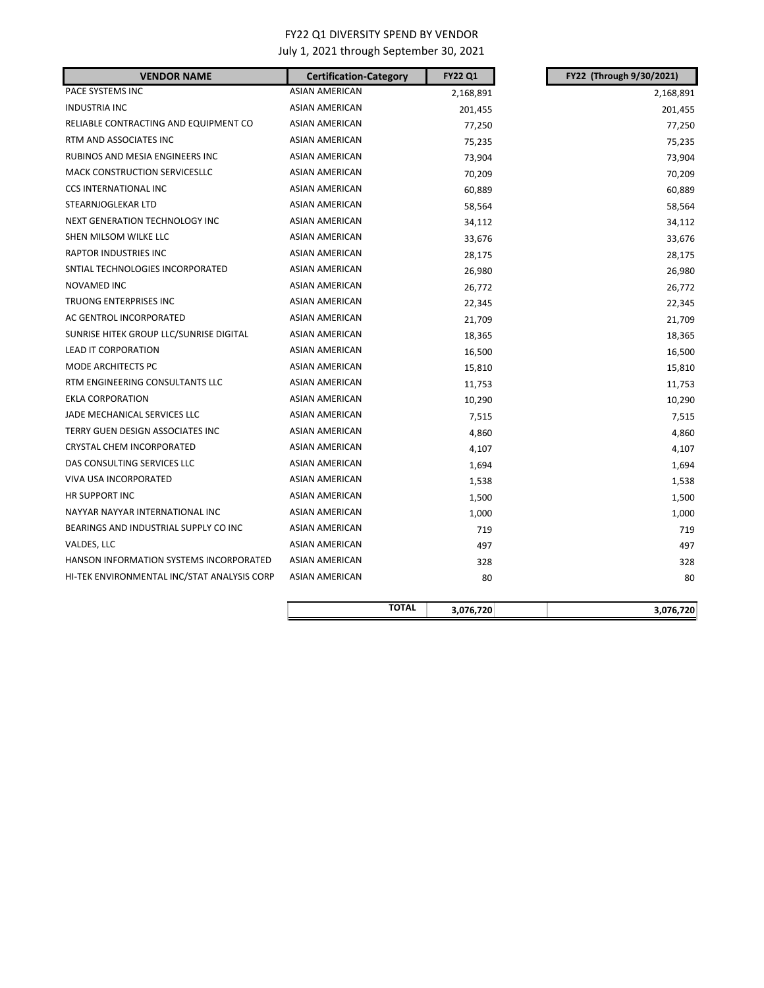# FY22 Q1 DIVERSITY SPEND BY VENDOR

July 1, 2021 through September 30, 2021

| <b>VENDOR NAME</b>                          | <b>Certification-Category</b> | <b>FY22 Q1</b> | FY22 (Through 9/30/2021) |
|---------------------------------------------|-------------------------------|----------------|--------------------------|
| PACE SYSTEMS INC                            | <b>ASIAN AMERICAN</b>         | 2,168,891      | 2,168,891                |
| <b>INDUSTRIA INC</b>                        | <b>ASIAN AMERICAN</b>         | 201,455        | 201,455                  |
| RELIABLE CONTRACTING AND EQUIPMENT CO       | <b>ASIAN AMERICAN</b>         | 77,250         | 77,250                   |
| RTM AND ASSOCIATES INC                      | <b>ASIAN AMERICAN</b>         | 75,235         | 75,235                   |
| RUBINOS AND MESIA ENGINEERS INC             | ASIAN AMERICAN                | 73,904         | 73,904                   |
| MACK CONSTRUCTION SERVICESLLC               | ASIAN AMERICAN                | 70,209         | 70,209                   |
| <b>CCS INTERNATIONAL INC</b>                | ASIAN AMERICAN                | 60,889         | 60,889                   |
| STEARNJOGLEKAR LTD                          | <b>ASIAN AMERICAN</b>         | 58,564         | 58,564                   |
| NEXT GENERATION TECHNOLOGY INC              | ASIAN AMERICAN                | 34,112         | 34,112                   |
| SHEN MILSOM WILKE LLC                       | <b>ASIAN AMERICAN</b>         | 33,676         | 33,676                   |
| RAPTOR INDUSTRIES INC                       | ASIAN AMERICAN                | 28,175         | 28,175                   |
| SNTIAL TECHNOLOGIES INCORPORATED            | ASIAN AMERICAN                | 26,980         | 26,980                   |
| NOVAMED INC                                 | ASIAN AMERICAN                | 26,772         | 26,772                   |
| TRUONG ENTERPRISES INC                      | ASIAN AMERICAN                | 22,345         | 22,345                   |
| AC GENTROL INCORPORATED                     | <b>ASIAN AMERICAN</b>         | 21,709         | 21,709                   |
| SUNRISE HITEK GROUP LLC/SUNRISE DIGITAL     | ASIAN AMERICAN                | 18,365         | 18,365                   |
| <b>LEAD IT CORPORATION</b>                  | ASIAN AMERICAN                | 16,500         | 16,500                   |
| <b>MODE ARCHITECTS PC</b>                   | <b>ASIAN AMERICAN</b>         | 15,810         | 15,810                   |
| RTM ENGINEERING CONSULTANTS LLC             | ASIAN AMERICAN                | 11,753         | 11,753                   |
| <b>EKLA CORPORATION</b>                     | <b>ASIAN AMERICAN</b>         | 10,290         | 10,290                   |
| JADE MECHANICAL SERVICES LLC                | ASIAN AMERICAN                | 7,515          | 7,515                    |
| TERRY GUEN DESIGN ASSOCIATES INC            | <b>ASIAN AMERICAN</b>         | 4,860          | 4,860                    |
| CRYSTAL CHEM INCORPORATED                   | <b>ASIAN AMERICAN</b>         | 4,107          | 4,107                    |
| DAS CONSULTING SERVICES LLC                 | ASIAN AMERICAN                | 1,694          | 1,694                    |
| VIVA USA INCORPORATED                       | ASIAN AMERICAN                | 1,538          | 1,538                    |
| HR SUPPORT INC                              | ASIAN AMERICAN                | 1,500          | 1,500                    |
| NAYYAR NAYYAR INTERNATIONAL INC             | ASIAN AMERICAN                | 1,000          | 1,000                    |
| BEARINGS AND INDUSTRIAL SUPPLY CO INC       | <b>ASIAN AMERICAN</b>         | 719            | 719                      |
| VALDES, LLC                                 | <b>ASIAN AMERICAN</b>         | 497            | 497                      |
| HANSON INFORMATION SYSTEMS INCORPORATED     | ASIAN AMERICAN                | 328            | 328                      |
| HI-TEK ENVIRONMENTAL INC/STAT ANALYSIS CORP | ASIAN AMERICAN                | 80             | 80                       |
|                                             |                               |                |                          |
|                                             | <b>TOTAL</b>                  | 3,076,720      | 3,076,720                |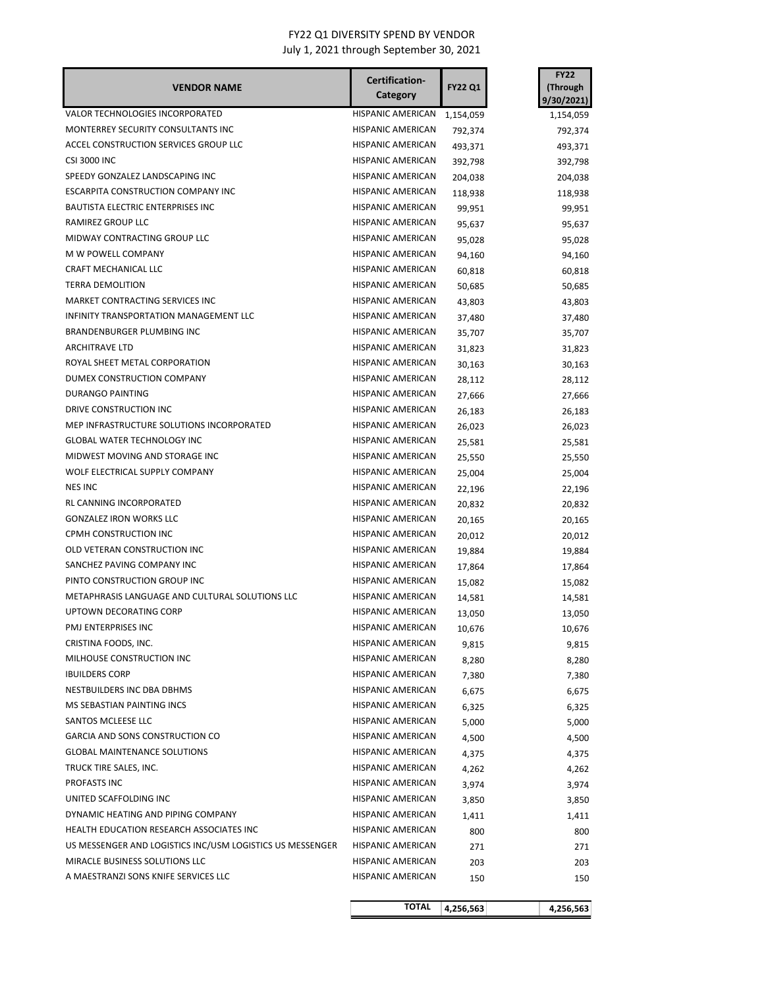## FY22 Q1 DIVERSITY SPEND BY VENDOR

July 1, 2021 through September 30, 2021

|                                                           | Certification-           |                | <b>FY22</b>            |
|-----------------------------------------------------------|--------------------------|----------------|------------------------|
| <b>VENDOR NAME</b>                                        | Category                 | <b>FY22 Q1</b> | (Through<br>9/30/2021) |
| VALOR TECHNOLOGIES INCORPORATED                           | HISPANIC AMERICAN        | 1,154,059      | 1,154,059              |
| MONTERREY SECURITY CONSULTANTS INC                        | <b>HISPANIC AMERICAN</b> | 792,374        | 792,374                |
| ACCEL CONSTRUCTION SERVICES GROUP LLC                     | <b>HISPANIC AMERICAN</b> | 493,371        | 493,371                |
| <b>CSI 3000 INC</b>                                       | <b>HISPANIC AMERICAN</b> | 392,798        | 392,798                |
| SPEEDY GONZALEZ LANDSCAPING INC                           | HISPANIC AMERICAN        | 204,038        | 204,038                |
| ESCARPITA CONSTRUCTION COMPANY INC                        | HISPANIC AMERICAN        | 118,938        | 118,938                |
| BAUTISTA ELECTRIC ENTERPRISES INC                         | HISPANIC AMERICAN        | 99,951         |                        |
| RAMIREZ GROUP LLC                                         | HISPANIC AMERICAN        | 95,637         | 99,951<br>95,637       |
| MIDWAY CONTRACTING GROUP LLC                              | HISPANIC AMERICAN        |                | 95,028                 |
| M W POWELL COMPANY                                        | HISPANIC AMERICAN        | 95,028         |                        |
| CRAFT MECHANICAL LLC                                      | <b>HISPANIC AMERICAN</b> | 94,160         | 94,160                 |
| <b>TERRA DEMOLITION</b>                                   | HISPANIC AMERICAN        | 60,818         | 60,818                 |
| MARKET CONTRACTING SERVICES INC                           | HISPANIC AMERICAN        | 50,685         | 50,685                 |
| INFINITY TRANSPORTATION MANAGEMENT LLC                    | <b>HISPANIC AMERICAN</b> | 43,803         | 43,803                 |
| <b>BRANDENBURGER PLUMBING INC</b>                         | HISPANIC AMERICAN        | 37,480         | 37,480                 |
| <b>ARCHITRAVE LTD</b>                                     | <b>HISPANIC AMERICAN</b> | 35,707         | 35,707                 |
| ROYAL SHEET METAL CORPORATION                             | HISPANIC AMERICAN        | 31,823         | 31,823                 |
| DUMEX CONSTRUCTION COMPANY                                | <b>HISPANIC AMERICAN</b> | 30,163         | 30,163                 |
| <b>DURANGO PAINTING</b>                                   | <b>HISPANIC AMERICAN</b> | 28,112         | 28,112                 |
| DRIVE CONSTRUCTION INC                                    |                          | 27,666         | 27,666                 |
|                                                           | <b>HISPANIC AMERICAN</b> | 26,183         | 26,183                 |
| MEP INFRASTRUCTURE SOLUTIONS INCORPORATED                 | HISPANIC AMERICAN        | 26,023         | 26,023                 |
| <b>GLOBAL WATER TECHNOLOGY INC</b>                        | HISPANIC AMERICAN        | 25,581         | 25,581                 |
| MIDWEST MOVING AND STORAGE INC                            | HISPANIC AMERICAN        | 25,550         | 25,550                 |
| WOLF ELECTRICAL SUPPLY COMPANY                            | HISPANIC AMERICAN        | 25,004         | 25,004                 |
| <b>NES INC</b>                                            | HISPANIC AMERICAN        | 22,196         | 22,196                 |
| RL CANNING INCORPORATED                                   | HISPANIC AMERICAN        | 20,832         | 20,832                 |
| <b>GONZALEZ IRON WORKS LLC</b>                            | HISPANIC AMERICAN        | 20,165         | 20,165                 |
| CPMH CONSTRUCTION INC                                     | HISPANIC AMERICAN        | 20,012         | 20,012                 |
| OLD VETERAN CONSTRUCTION INC                              | HISPANIC AMERICAN        | 19,884         | 19,884                 |
| SANCHEZ PAVING COMPANY INC                                | HISPANIC AMERICAN        | 17,864         | 17,864                 |
| PINTO CONSTRUCTION GROUP INC                              | <b>HISPANIC AMERICAN</b> | 15,082         | 15,082                 |
| METAPHRASIS LANGUAGE AND CULTURAL SOLUTIONS LLC           | HISPANIC AMERICAN        | 14,581         | 14,581                 |
| UPTOWN DECORATING CORP                                    | <b>HISPANIC AMERICAN</b> | 13,050         | 13,050                 |
| PMJ ENTERPRISES INC                                       | HISPANIC AMERICAN        | 10,676         | 10,676                 |
| CRISTINA FOODS, INC.                                      | <b>HISPANIC AMERICAN</b> | 9,815          | 9,815                  |
| MILHOUSE CONSTRUCTION INC                                 | HISPANIC AMERICAN        | 8,280          | 8,280                  |
| <b>IBUILDERS CORP</b>                                     | HISPANIC AMERICAN        | 7,380          | 7,380                  |
| NESTBUILDERS INC DBA DBHMS                                | HISPANIC AMERICAN        | 6,675          | 6,675                  |
| MS SEBASTIAN PAINTING INCS                                | HISPANIC AMERICAN        | 6,325          | 6,325                  |
| SANTOS MCLEESE LLC                                        | HISPANIC AMERICAN        | 5,000          | 5,000                  |
| <b>GARCIA AND SONS CONSTRUCTION CO</b>                    | HISPANIC AMERICAN        | 4,500          | 4,500                  |
| <b>GLOBAL MAINTENANCE SOLUTIONS</b>                       | <b>HISPANIC AMERICAN</b> | 4,375          | 4,375                  |
| TRUCK TIRE SALES, INC.                                    | HISPANIC AMERICAN        | 4,262          | 4,262                  |
| PROFASTS INC                                              | HISPANIC AMERICAN        | 3,974          | 3,974                  |
| UNITED SCAFFOLDING INC                                    | HISPANIC AMERICAN        | 3,850          | 3,850                  |
| DYNAMIC HEATING AND PIPING COMPANY                        | HISPANIC AMERICAN        | 1,411          | 1,411                  |
| HEALTH EDUCATION RESEARCH ASSOCIATES INC                  | HISPANIC AMERICAN        | 800            | 800                    |
| US MESSENGER AND LOGISTICS INC/USM LOGISTICS US MESSENGER | HISPANIC AMERICAN        | 271            | 271                    |
| MIRACLE BUSINESS SOLUTIONS LLC                            | HISPANIC AMERICAN        | 203            | 203                    |
| A MAESTRANZI SONS KNIFE SERVICES LLC                      | HISPANIC AMERICAN        | 150            | 150                    |
|                                                           | <b>TOTAL</b>             | 4,256,563      | 4,256,563              |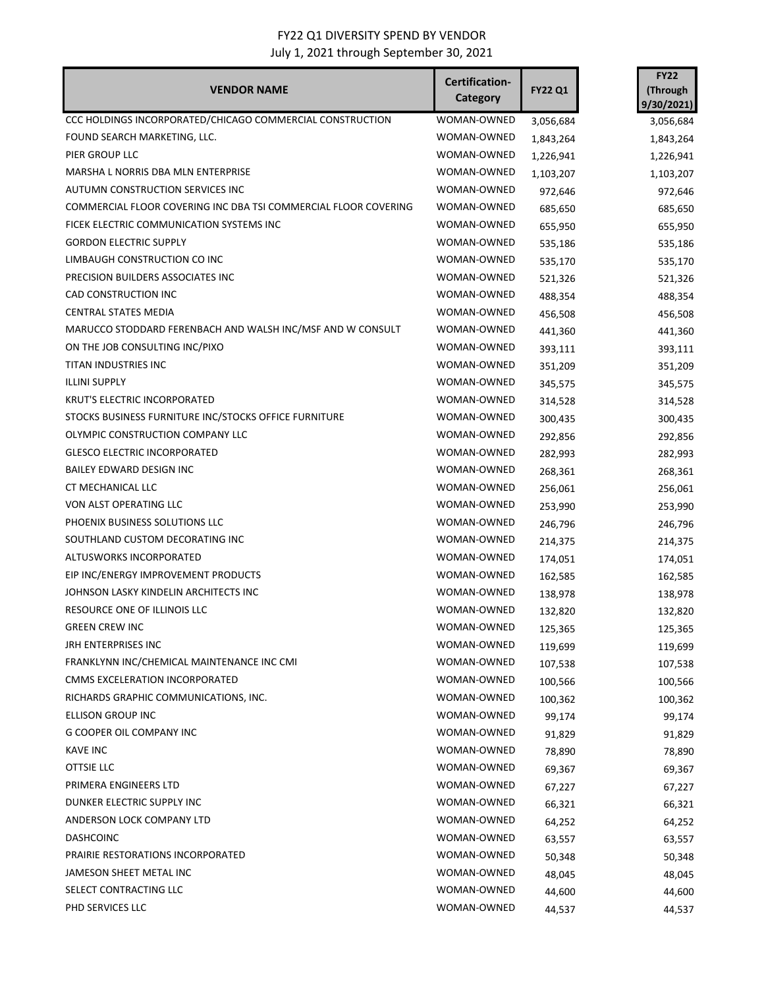| <b>VENDOR NAME</b>                                              | Certification-<br>Category | <b>FY22 Q1</b> | <b>FY22</b><br>(Through<br>9/30/2021) |
|-----------------------------------------------------------------|----------------------------|----------------|---------------------------------------|
| CCC HOLDINGS INCORPORATED/CHICAGO COMMERCIAL CONSTRUCTION       | WOMAN-OWNED                | 3,056,684      | 3,056,684                             |
| FOUND SEARCH MARKETING, LLC.                                    | WOMAN-OWNED                | 1,843,264      | 1,843,264                             |
| PIER GROUP LLC                                                  | WOMAN-OWNED                | 1,226,941      | 1,226,941                             |
| MARSHA L NORRIS DBA MLN ENTERPRISE                              | WOMAN-OWNED                | 1,103,207      | 1,103,207                             |
| AUTUMN CONSTRUCTION SERVICES INC                                | WOMAN-OWNED                | 972,646        | 972,646                               |
| COMMERCIAL FLOOR COVERING INC DBA TSI COMMERCIAL FLOOR COVERING | WOMAN-OWNED                | 685,650        | 685,650                               |
| FICEK ELECTRIC COMMUNICATION SYSTEMS INC                        | WOMAN-OWNED                | 655,950        | 655,950                               |
| <b>GORDON ELECTRIC SUPPLY</b>                                   | WOMAN-OWNED                | 535,186        | 535,186                               |
| LIMBAUGH CONSTRUCTION CO INC                                    | WOMAN-OWNED                | 535,170        | 535,170                               |
| PRECISION BUILDERS ASSOCIATES INC                               | WOMAN-OWNED                | 521,326        | 521,326                               |
| CAD CONSTRUCTION INC                                            | WOMAN-OWNED                | 488,354        | 488,354                               |
| CENTRAL STATES MEDIA                                            | WOMAN-OWNED                | 456,508        | 456,508                               |
| MARUCCO STODDARD FERENBACH AND WALSH INC/MSF AND W CONSULT      | WOMAN-OWNED                | 441,360        | 441,360                               |
| ON THE JOB CONSULTING INC/PIXO                                  | WOMAN-OWNED                | 393,111        | 393,111                               |
| TITAN INDUSTRIES INC                                            | WOMAN-OWNED                | 351,209        | 351,209                               |
| <b>ILLINI SUPPLY</b>                                            | WOMAN-OWNED                | 345,575        | 345,575                               |
| KRUT'S ELECTRIC INCORPORATED                                    | WOMAN-OWNED                | 314,528        | 314,528                               |
| STOCKS BUSINESS FURNITURE INC/STOCKS OFFICE FURNITURE           | WOMAN-OWNED                | 300,435        | 300,435                               |
| OLYMPIC CONSTRUCTION COMPANY LLC                                | WOMAN-OWNED                | 292,856        | 292,856                               |
| <b>GLESCO ELECTRIC INCORPORATED</b>                             | WOMAN-OWNED                | 282,993        | 282,993                               |
| BAILEY EDWARD DESIGN INC                                        | WOMAN-OWNED                | 268,361        | 268,361                               |
| CT MECHANICAL LLC                                               | WOMAN-OWNED                | 256,061        | 256,061                               |
| VON ALST OPERATING LLC                                          | WOMAN-OWNED                | 253,990        | 253,990                               |
| PHOENIX BUSINESS SOLUTIONS LLC                                  | WOMAN-OWNED                | 246,796        | 246,796                               |
| SOUTHLAND CUSTOM DECORATING INC                                 | WOMAN-OWNED                | 214,375        | 214,375                               |
| ALTUSWORKS INCORPORATED                                         | WOMAN-OWNED                | 174,051        | 174,051                               |
| EIP INC/ENERGY IMPROVEMENT PRODUCTS                             | WOMAN-OWNED                | 162,585        | 162,585                               |
| JOHNSON LASKY KINDELIN ARCHITECTS INC                           | WOMAN-OWNED                | 138,978        | 138,978                               |
| RESOURCE ONE OF ILLINOIS LLC                                    | WOMAN-OWNED                | 132,820        | 132,820                               |
| <b>GREEN CREW INC</b>                                           | WOMAN-OWNED                | 125,365        | 125,365                               |
| JRH ENTERPRISES INC                                             | WOMAN-OWNED                | 119,699        | 119,699                               |
| FRANKLYNN INC/CHEMICAL MAINTENANCE INC CMI                      | WOMAN-OWNED                | 107,538        | 107,538                               |
| CMMS EXCELERATION INCORPORATED                                  | WOMAN-OWNED                | 100,566        | 100,566                               |
| RICHARDS GRAPHIC COMMUNICATIONS, INC.                           | WOMAN-OWNED                | 100,362        | 100,362                               |
| ELLISON GROUP INC                                               | WOMAN-OWNED                | 99,174         | 99,174                                |
| <b>G COOPER OIL COMPANY INC</b>                                 | WOMAN-OWNED                | 91,829         | 91,829                                |
| <b>KAVE INC</b>                                                 | WOMAN-OWNED                | 78,890         | 78,890                                |
| OTTSIE LLC                                                      | WOMAN-OWNED                | 69,367         | 69,367                                |
| PRIMERA ENGINEERS LTD                                           | WOMAN-OWNED                | 67,227         | 67,227                                |
| DUNKER ELECTRIC SUPPLY INC                                      | WOMAN-OWNED                | 66,321         | 66,321                                |
| ANDERSON LOCK COMPANY LTD                                       | WOMAN-OWNED                | 64,252         | 64,252                                |
| <b>DASHCOINC</b>                                                | WOMAN-OWNED                | 63,557         | 63,557                                |
| PRAIRIE RESTORATIONS INCORPORATED                               | WOMAN-OWNED                | 50,348         | 50,348                                |
| JAMESON SHEET METAL INC                                         | WOMAN-OWNED                | 48,045         | 48,045                                |
| SELECT CONTRACTING LLC                                          | WOMAN-OWNED                | 44,600         | 44,600                                |
| PHD SERVICES LLC                                                | WOMAN-OWNED                | 44,537         | 44,537                                |
|                                                                 |                            |                |                                       |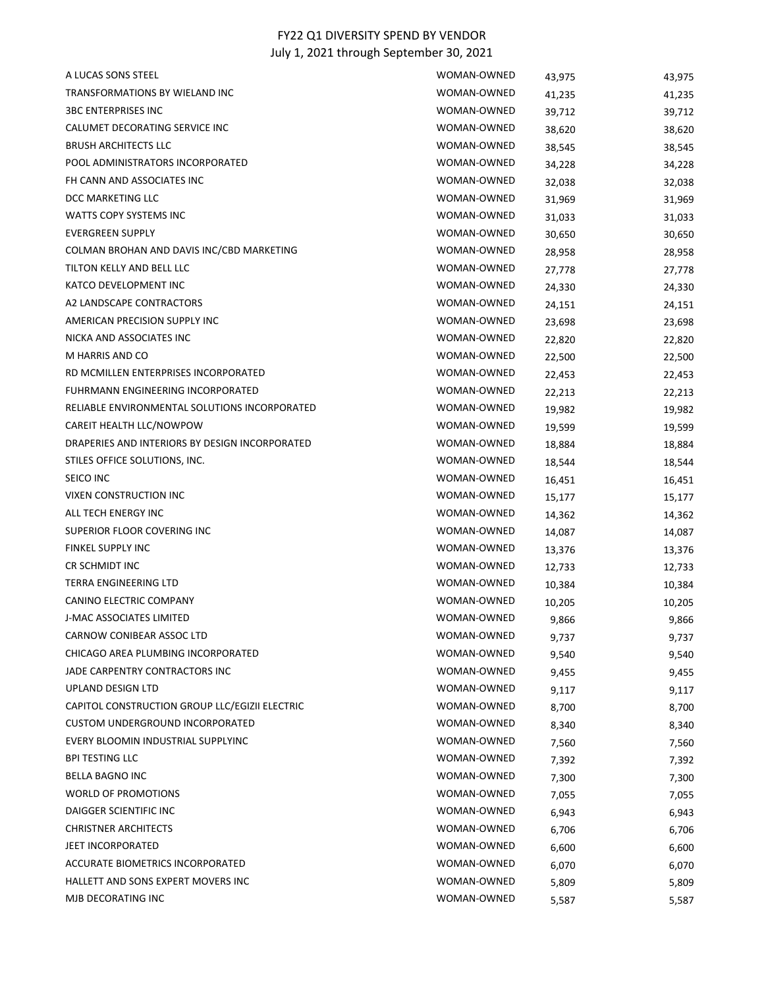| A LUCAS SONS STEEL                             | WOMAN-OWNED | 43,975 | 43,975 |
|------------------------------------------------|-------------|--------|--------|
| TRANSFORMATIONS BY WIELAND INC                 | WOMAN-OWNED | 41,235 | 41,235 |
| <b>3BC ENTERPRISES INC</b>                     | WOMAN-OWNED | 39,712 | 39,712 |
| CALUMET DECORATING SERVICE INC                 | WOMAN-OWNED | 38,620 | 38,620 |
| <b>BRUSH ARCHITECTS LLC</b>                    | WOMAN-OWNED | 38,545 | 38,545 |
| POOL ADMINISTRATORS INCORPORATED               | WOMAN-OWNED | 34,228 | 34,228 |
| FH CANN AND ASSOCIATES INC                     | WOMAN-OWNED | 32,038 | 32,038 |
| DCC MARKETING LLC                              | WOMAN-OWNED | 31,969 | 31,969 |
| WATTS COPY SYSTEMS INC                         | WOMAN-OWNED | 31,033 | 31,033 |
| <b>EVERGREEN SUPPLY</b>                        | WOMAN-OWNED | 30,650 | 30,650 |
| COLMAN BROHAN AND DAVIS INC/CBD MARKETING      | WOMAN-OWNED | 28,958 | 28,958 |
| TILTON KELLY AND BELL LLC                      | WOMAN-OWNED | 27,778 | 27,778 |
| KATCO DEVELOPMENT INC                          | WOMAN-OWNED | 24,330 | 24,330 |
| A2 LANDSCAPE CONTRACTORS                       | WOMAN-OWNED | 24,151 | 24,151 |
| AMERICAN PRECISION SUPPLY INC                  | WOMAN-OWNED | 23,698 | 23,698 |
| NICKA AND ASSOCIATES INC                       | WOMAN-OWNED | 22,820 | 22,820 |
| M HARRIS AND CO                                | WOMAN-OWNED | 22,500 | 22,500 |
| RD MCMILLEN ENTERPRISES INCORPORATED           | WOMAN-OWNED | 22,453 | 22,453 |
| FUHRMANN ENGINEERING INCORPORATED              | WOMAN-OWNED | 22,213 | 22,213 |
| RELIABLE ENVIRONMENTAL SOLUTIONS INCORPORATED  | WOMAN-OWNED | 19,982 | 19,982 |
| CAREIT HEALTH LLC/NOWPOW                       | WOMAN-OWNED | 19,599 | 19,599 |
| DRAPERIES AND INTERIORS BY DESIGN INCORPORATED | WOMAN-OWNED | 18,884 | 18,884 |
| STILES OFFICE SOLUTIONS, INC.                  | WOMAN-OWNED | 18,544 | 18,544 |
| SEICO INC                                      | WOMAN-OWNED | 16,451 | 16,451 |
| VIXEN CONSTRUCTION INC                         | WOMAN-OWNED | 15,177 | 15,177 |
| ALL TECH ENERGY INC                            | WOMAN-OWNED | 14,362 | 14,362 |
| SUPERIOR FLOOR COVERING INC                    | WOMAN-OWNED | 14,087 | 14,087 |
| <b>FINKEL SUPPLY INC</b>                       | WOMAN-OWNED | 13,376 | 13,376 |
| CR SCHMIDT INC                                 | WOMAN-OWNED | 12,733 | 12,733 |
| TERRA ENGINEERING LTD                          | WOMAN-OWNED | 10,384 | 10,384 |
| CANINO ELECTRIC COMPANY                        | WOMAN-OWNED | 10,205 | 10,205 |
| <b>J-MAC ASSOCIATES LIMITED</b>                | WOMAN-OWNED | 9,866  | 9,866  |
| CARNOW CONIBEAR ASSOC LTD                      | WOMAN-OWNED | 9,737  | 9,737  |
| CHICAGO AREA PLUMBING INCORPORATED             | WOMAN-OWNED | 9,540  | 9,540  |
| JADE CARPENTRY CONTRACTORS INC                 | WOMAN-OWNED | 9,455  | 9,455  |
| UPLAND DESIGN LTD                              | WOMAN-OWNED | 9,117  | 9,117  |
| CAPITOL CONSTRUCTION GROUP LLC/EGIZII ELECTRIC | WOMAN-OWNED | 8,700  | 8,700  |
| <b>CUSTOM UNDERGROUND INCORPORATED</b>         | WOMAN-OWNED | 8,340  | 8,340  |
| EVERY BLOOMIN INDUSTRIAL SUPPLYINC             | WOMAN-OWNED | 7,560  | 7,560  |
| <b>BPI TESTING LLC</b>                         | WOMAN-OWNED | 7,392  | 7,392  |
| BELLA BAGNO INC                                | WOMAN-OWNED | 7,300  | 7,300  |
| <b>WORLD OF PROMOTIONS</b>                     | WOMAN-OWNED | 7,055  | 7,055  |
| DAIGGER SCIENTIFIC INC                         | WOMAN-OWNED | 6,943  | 6,943  |
| <b>CHRISTNER ARCHITECTS</b>                    | WOMAN-OWNED | 6,706  | 6,706  |
| <b>JEET INCORPORATED</b>                       | WOMAN-OWNED | 6,600  | 6,600  |
| ACCURATE BIOMETRICS INCORPORATED               | WOMAN-OWNED | 6,070  | 6,070  |
| HALLETT AND SONS EXPERT MOVERS INC             | WOMAN-OWNED | 5,809  | 5,809  |
| MJB DECORATING INC                             | WOMAN-OWNED | 5,587  | 5,587  |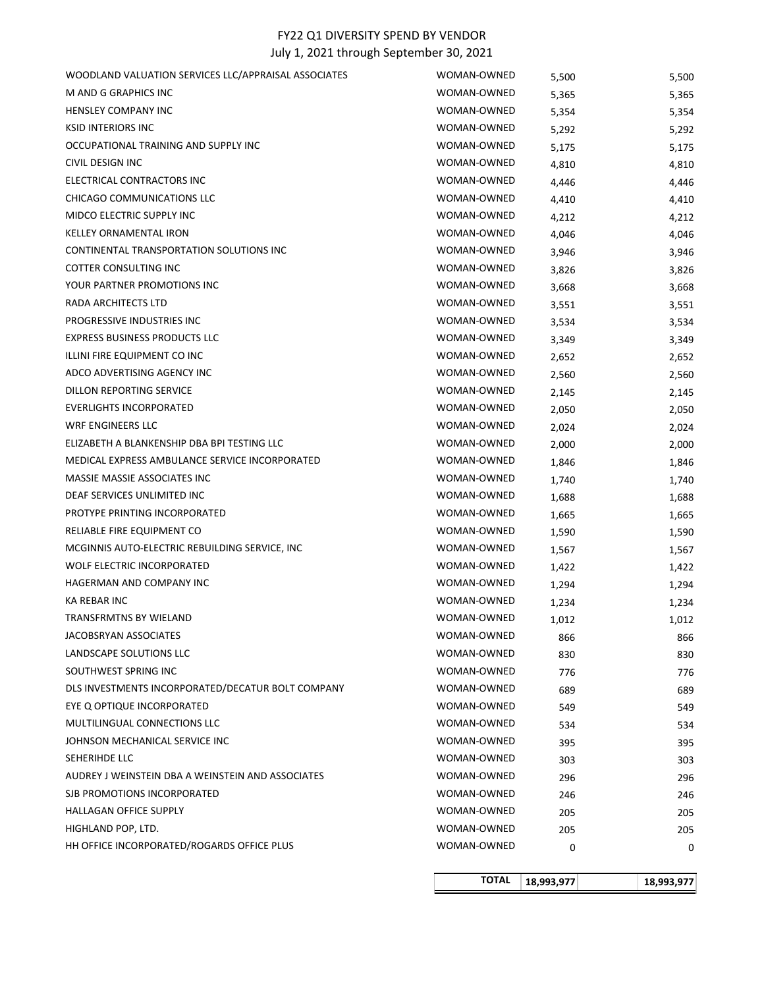|                                                                   | <b>TOTAL</b>               | 18,993,977     | 18,993,977     |
|-------------------------------------------------------------------|----------------------------|----------------|----------------|
|                                                                   |                            |                |                |
| HH OFFICE INCORPORATED/ROGARDS OFFICE PLUS                        | WOMAN-OWNED                | 0              | 0              |
| HIGHLAND POP, LTD.                                                | WOMAN-OWNED                | 205            | 205            |
| <b>HALLAGAN OFFICE SUPPLY</b>                                     | WOMAN-OWNED                | 205            | 205            |
| SJB PROMOTIONS INCORPORATED                                       | WOMAN-OWNED                | 246            | 246            |
| AUDREY J WEINSTEIN DBA A WEINSTEIN AND ASSOCIATES                 | WOMAN-OWNED                | 296            | 296            |
| SEHERIHDE LLC                                                     | WOMAN-OWNED                | 303            | 303            |
| JOHNSON MECHANICAL SERVICE INC                                    | WOMAN-OWNED                | 395            | 395            |
| MULTILINGUAL CONNECTIONS LLC                                      | WOMAN-OWNED                | 534            | 534            |
| EYE Q OPTIQUE INCORPORATED                                        | WOMAN-OWNED                | 549            | 549            |
| DLS INVESTMENTS INCORPORATED/DECATUR BOLT COMPANY                 | WOMAN-OWNED                | 689            | 689            |
| SOUTHWEST SPRING INC                                              | WOMAN-OWNED                | 776            | 776            |
| <b>LANDSCAPE SOLUTIONS LLC</b>                                    | WOMAN-OWNED                | 830            | 830            |
| JACOBSRYAN ASSOCIATES                                             | WOMAN-OWNED                | 866            | 866            |
| <b>TRANSFRMTNS BY WIELAND</b>                                     | WOMAN-OWNED                | 1,012          | 1,012          |
| KA REBAR INC                                                      | WOMAN-OWNED                | 1,234          | 1,234          |
| HAGERMAN AND COMPANY INC                                          | WOMAN-OWNED                | 1,294          | 1,294          |
| <b>WOLF ELECTRIC INCORPORATED</b>                                 | WOMAN-OWNED                | 1,422          | 1,422          |
| MCGINNIS AUTO-ELECTRIC REBUILDING SERVICE, INC                    | WOMAN-OWNED                | 1,567          | 1,567          |
| RELIABLE FIRE EQUIPMENT CO                                        | WOMAN-OWNED                | 1,590          | 1,590          |
| PROTYPE PRINTING INCORPORATED                                     | WOMAN-OWNED                | 1,665          | 1,665          |
| DEAF SERVICES UNLIMITED INC                                       | WOMAN-OWNED                | 1,688          | 1,688          |
| MASSIE MASSIE ASSOCIATES INC                                      | WOMAN-OWNED                | 1,740          | 1,740          |
| MEDICAL EXPRESS AMBULANCE SERVICE INCORPORATED                    | WOMAN-OWNED                | 1,846          | 1,846          |
| ELIZABETH A BLANKENSHIP DBA BPI TESTING LLC                       | WOMAN-OWNED                | 2,000          | 2,000          |
| <b>WRF ENGINEERS LLC</b>                                          | WOMAN-OWNED                | 2,024          | 2,024          |
| <b>EVERLIGHTS INCORPORATED</b>                                    | WOMAN-OWNED                | 2,050          | 2,050          |
| DILLON REPORTING SERVICE                                          | WOMAN-OWNED                | 2,145          | 2,145          |
| ADCO ADVERTISING AGENCY INC                                       | WOMAN-OWNED                | 2,560          | 2,560          |
| ILLINI FIRE EQUIPMENT CO INC                                      | WOMAN-OWNED                | 2,652          | 2,652          |
| <b>EXPRESS BUSINESS PRODUCTS LLC</b>                              | WOMAN-OWNED                | 3,349          | 3,349          |
| PROGRESSIVE INDUSTRIES INC                                        | WOMAN-OWNED                | 3,534          | 3,534          |
| RADA ARCHITECTS LTD                                               | WOMAN-OWNED                | 3,668<br>3,551 | 3,668<br>3,551 |
| YOUR PARTNER PROMOTIONS INC                                       | WOMAN-OWNED                | 3,826          |                |
| COTTER CONSULTING INC                                             | WOMAN-OWNED                | 3,946          | 3,946<br>3,826 |
| CONTINENTAL TRANSPORTATION SOLUTIONS INC                          | WOMAN-OWNED                | 4,046          | 4,046          |
| <b>KELLEY ORNAMENTAL IRON</b>                                     | WOMAN-OWNED                | 4,212          | 4,212          |
| MIDCO ELECTRIC SUPPLY INC                                         | WOMAN-OWNED                | 4,410          | 4,410          |
| CHICAGO COMMUNICATIONS LLC                                        | WOMAN-OWNED                | 4,446          | 4,446          |
| ELECTRICAL CONTRACTORS INC                                        | WOMAN-OWNED                | 4,810          | 4,810          |
| CIVIL DESIGN INC                                                  | WOMAN-OWNED<br>WOMAN-OWNED | 5,175          | 5,175          |
| <b>KSID INTERIORS INC</b><br>OCCUPATIONAL TRAINING AND SUPPLY INC | WOMAN-OWNED                | 5,292          | 5,292          |
| <b>HENSLEY COMPANY INC</b>                                        | WOMAN-OWNED                | 5,354          | 5,354          |
| M AND G GRAPHICS INC                                              | WOMAN-OWNED                | 5,365          | 5,365          |
| WOODLAND VALUATION SERVICES LLC/APPRAISAL ASSOCIATES              | WOMAN-OWNED                | 5,500          | 5,500          |
|                                                                   |                            |                |                |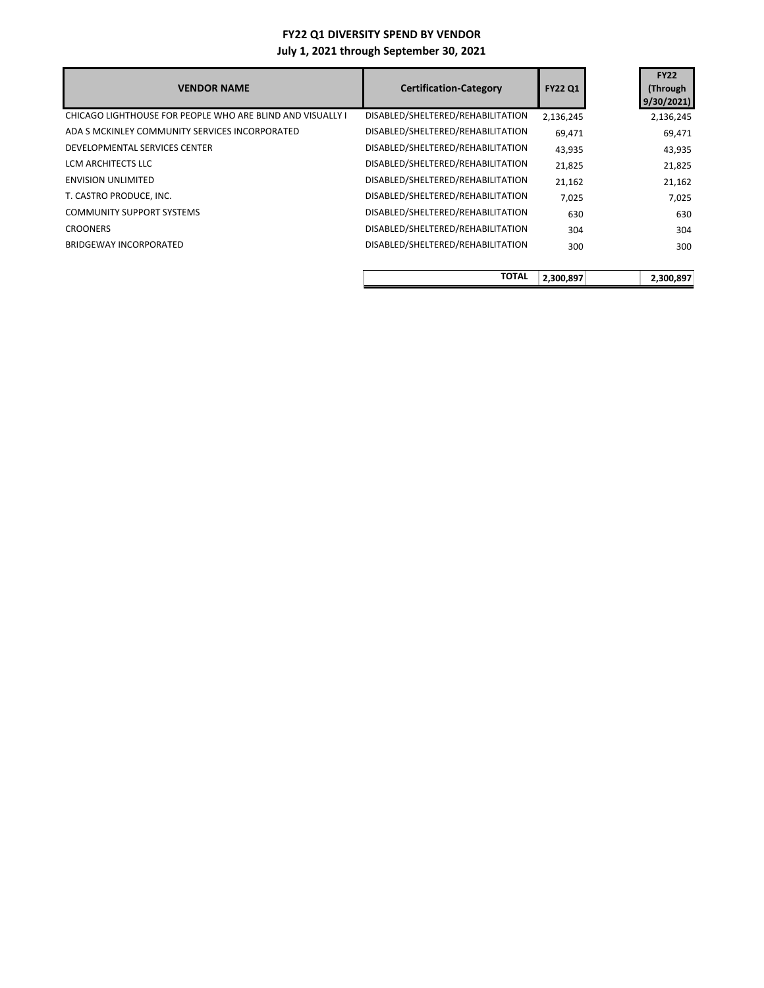| <b>VENDOR NAME</b>                                         | <b>Certification-Category</b>     | <b>FY22 Q1</b> | <b>FY22</b><br>(Through<br>9/30/2021 |
|------------------------------------------------------------|-----------------------------------|----------------|--------------------------------------|
| CHICAGO LIGHTHOUSE FOR PEOPLE WHO ARE BLIND AND VISUALLY I | DISABLED/SHELTERED/REHABILITATION | 2,136,245      | 2,136,245                            |
| ADA S MCKINLEY COMMUNITY SERVICES INCORPORATED             | DISABLED/SHELTERED/REHABILITATION | 69,471         | 69,471                               |
| DEVELOPMENTAL SERVICES CENTER                              | DISABLED/SHELTERED/REHABILITATION | 43,935         | 43,935                               |
| LCM ARCHITECTS LLC                                         | DISABLED/SHELTERED/REHABILITATION | 21,825         | 21,825                               |
| <b>ENVISION UNLIMITED</b>                                  | DISABLED/SHELTERED/REHABILITATION | 21,162         | 21,162                               |
| T. CASTRO PRODUCE, INC.                                    | DISABLED/SHELTERED/REHABILITATION | 7,025          | 7,025                                |
| <b>COMMUNITY SUPPORT SYSTEMS</b>                           | DISABLED/SHELTERED/REHABILITATION | 630            | 630                                  |
| <b>CROONERS</b>                                            | DISABLED/SHELTERED/REHABILITATION | 304            | 304                                  |
| BRIDGEWAY INCORPORATED                                     | DISABLED/SHELTERED/REHABILITATION | 300            | 300                                  |
|                                                            |                                   |                |                                      |

| <b>TOTAL</b> | 2,300,897 | 2,300,897 |
|--------------|-----------|-----------|
|              |           |           |